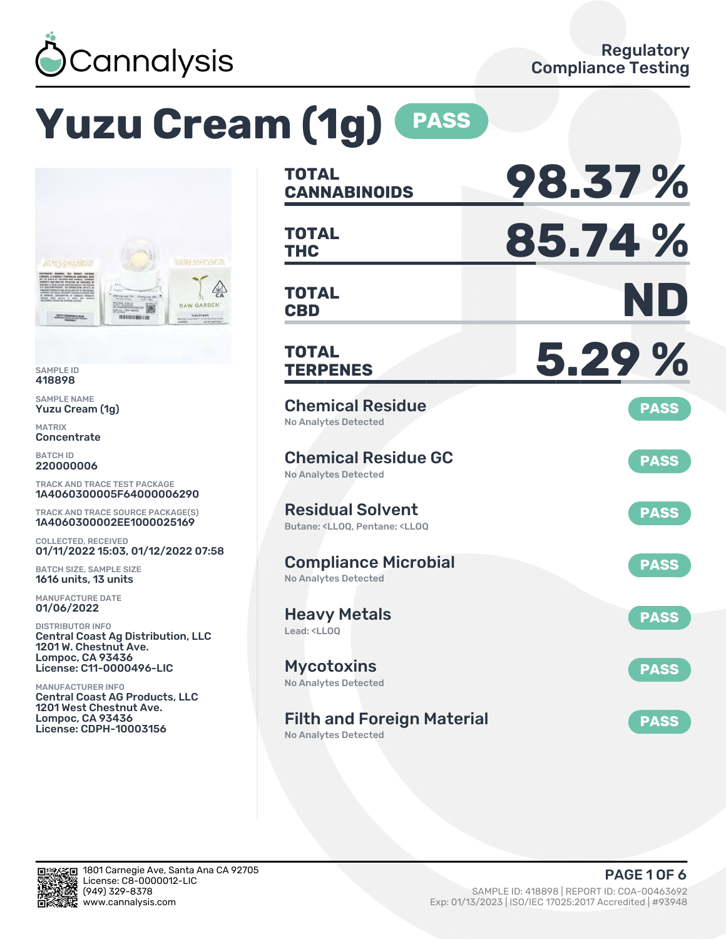

# **Yuzu Cream (1g) PASS**



SAMPLE ID 418898

SAMPLE NAME Yuzu Cream (1g)

MATRIX **Concentrate** 

BATCH ID 220000006

TRACK AND TRACE TEST PACKAGE 1A4060300005F64000006290

TRACK AND TRACE SOURCE PACKAGE(S) 1A4060300002EE1000025169

COLLECTED, RECEIVED 01/11/2022 15:03, 01/12/2022 07:58

BATCH SIZE, SAMPLE SIZE 1616 units, 13 units

MANUFACTURE DATE 01/06/2022

DISTRIBUTOR INFO Central Coast Ag Distribution, LLC 1201 W. Chestnut Ave. Lompoc, CA 93436 License: C11-0000496-LIC

MANUFACTURER INFO Central Coast AG Products, LLC 1201 West Chestnut Ave. Lompoc, CA 93436 License: CDPH-10003156

| <b>TOTAL</b><br><b>CANNABINOIDS</b>                                                                | 98.37%      |
|----------------------------------------------------------------------------------------------------|-------------|
| <b>TOTAL</b><br><b>THC</b>                                                                         | 85.74%      |
| <b>TOTAL</b><br><b>CBD</b>                                                                         | ND          |
| <b>TOTAL</b><br><b>TERPENES</b>                                                                    | 5.29%       |
| <b>Chemical Residue</b><br><b>No Analytes Detected</b>                                             | <b>PASS</b> |
| <b>Chemical Residue GC</b><br><b>No Analytes Detected</b>                                          | <b>PASS</b> |
| <b>Residual Solvent</b><br>Butane: <lloq, <lloq<="" pentane:="" td=""><td><b>PASS</b></td></lloq,> | <b>PASS</b> |
| <b>Compliance Microbial</b><br><b>No Analytes Detected</b>                                         | <b>PASS</b> |
| <b>Heavy Metals</b><br>Lead: <ll00< td=""><td><b>PASS</b></td></ll00<>                             | <b>PASS</b> |
| <b>Mycotoxins</b><br>No Analytes Detected                                                          | <b>PASS</b> |
| <b>Filth and Foreign Material</b><br>No Analytes Detected                                          | <b>PASS</b> |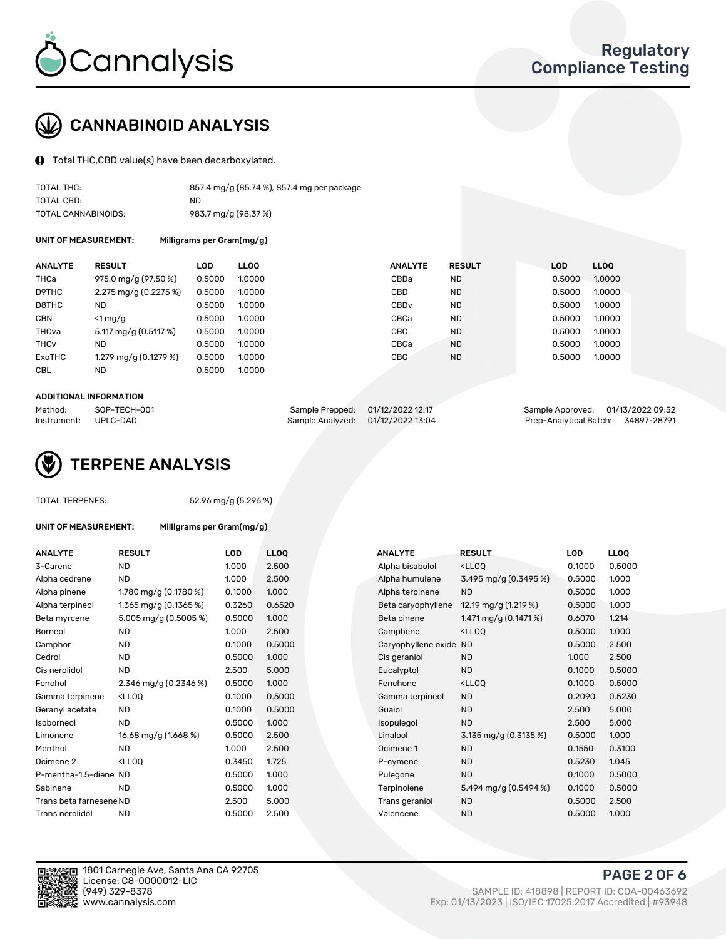

# CANNABINOID ANALYSIS

Total THC,CBD value(s) have been decarboxylated.

| TOTAL THC:          | 857.4 mg/g (85.74 %), 857.4 mg per package |
|---------------------|--------------------------------------------|
| TOTAL CBD:          | ND.                                        |
| TOTAL CANNABINOIDS: | 983.7 mg/g (98.37 %)                       |

UNIT OF MEASUREMENT: Milligrams per Gram(mg/g)

| <b>ANALYTE</b>         | <b>RESULT</b>         | <b>LOD</b> | <b>LLOO</b> | <b>ANALYTE</b>   | <b>RESULT</b> | <b>LOD</b> |        | <b>LLOO</b> |
|------------------------|-----------------------|------------|-------------|------------------|---------------|------------|--------|-------------|
| THCa                   | 975.0 mg/g (97.50 %)  | 0.5000     | 1.0000      | CBDa             | <b>ND</b>     |            | 0.5000 | 1.0000      |
| D9THC                  | 2.275 mg/g (0.2275 %) | 0.5000     | 1.0000      | <b>CBD</b>       | <b>ND</b>     |            | 0.5000 | 1.0000      |
| D8THC                  | <b>ND</b>             | 0.5000     | 1.0000      | CBD <sub>v</sub> | <b>ND</b>     |            | 0.5000 | 1.0000      |
| <b>CBN</b>             | $\leq 1$ mg/g         | 0.5000     | 1.0000      | CBCa             | <b>ND</b>     |            | 0.5000 | 1.0000      |
| THCva                  | 5.117 mg/g (0.5117 %) | 0.5000     | 1.0000      | CBC              | <b>ND</b>     |            | 0.5000 | 1.0000      |
| <b>THC<sub>v</sub></b> | ND                    | 0.5000     | 1.0000      | CBGa             | <b>ND</b>     |            | 0.5000 | 1.0000      |
| ExoTHC                 | 1.279 mg/g (0.1279 %) | 0.5000     | 1.0000      | <b>CBG</b>       | <b>ND</b>     |            | 0.5000 | 1.0000      |
| <b>CBL</b>             | <b>ND</b>             | 0.5000     | 1.0000      |                  |               |            |        |             |

#### ADDITIONAL INFORMATION

| Method:              | SOP-TECH-001 | Sample Prepped: 01/12/2022 12:17  | Sample Approved: 01/13/2022 09:52  |  |
|----------------------|--------------|-----------------------------------|------------------------------------|--|
| Instrument: UPLC-DAD |              | Sample Analyzed: 01/12/2022 13:04 | Prep-Analytical Batch: 34897-28791 |  |



TOTAL TERPENES: 52.96 mg/g (5.296 %)

| UNIT OF MEASUREMENT:    | Milligrams per Gram(mg/g)                                                                                                  |            |             |                        |                                                    |            |             |
|-------------------------|----------------------------------------------------------------------------------------------------------------------------|------------|-------------|------------------------|----------------------------------------------------|------------|-------------|
| <b>ANALYTE</b>          | <b>RESULT</b>                                                                                                              | <b>LOD</b> | <b>LLOO</b> | <b>ANALYTE</b>         | <b>RESULT</b>                                      | <b>LOD</b> | <b>LLOQ</b> |
| 3-Carene                | <b>ND</b>                                                                                                                  | 1.000      | 2.500       | Alpha bisabolol        | <ll0q< td=""><td>0.1000</td><td>0.500</td></ll0q<> | 0.1000     | 0.500       |
| Alpha cedrene           | <b>ND</b>                                                                                                                  | 1.000      | 2.500       | Alpha humulene         | 3.495 mg/g (0.3495 %)                              | 0.5000     | 1.000       |
| Alpha pinene            | 1.780 mg/g (0.1780 %)                                                                                                      | 0.1000     | 1.000       | Alpha terpinene        | <b>ND</b>                                          | 0.5000     | 1.000       |
| Alpha terpineol         | 1.365 mg/g $(0.1365\%)$                                                                                                    | 0.3260     | 0.6520      | Beta caryophyllene     | 12.19 mg/g (1.219 %)                               | 0.5000     | 1.000       |
| Beta myrcene            | 5.005 mg/g (0.5005 %)                                                                                                      | 0.5000     | 1.000       | Beta pinene            | 1.471 mg/g $(0.1471%)$                             | 0.6070     | 1.214       |
| Borneol                 | <b>ND</b>                                                                                                                  | 1.000      | 2.500       | Camphene               | <lloq< td=""><td>0.5000</td><td>1.000</td></lloq<> | 0.5000     | 1.000       |
| Camphor                 | <b>ND</b>                                                                                                                  | 0.1000     | 0.5000      | Caryophyllene oxide ND |                                                    | 0.5000     | 2.500       |
| Cedrol                  | <b>ND</b>                                                                                                                  | 0.5000     | 1.000       | Cis geraniol           | <b>ND</b>                                          | 1.000      | 2.500       |
| Cis nerolidol           | <b>ND</b>                                                                                                                  | 2.500      | 5.000       | Eucalyptol             | <b>ND</b>                                          | 0.1000     | 0.500       |
| Fenchol                 | 2.346 mg/g (0.2346 %)                                                                                                      | 0.5000     | 1.000       | Fenchone               | <lloo< td=""><td>0.1000</td><td>0.500</td></lloo<> | 0.1000     | 0.500       |
| Gamma terpinene         | <ll0q< td=""><td>0.1000</td><td>0.5000</td><td>Gamma terpineol</td><td><b>ND</b></td><td>0.2090</td><td>0.523</td></ll0q<> | 0.1000     | 0.5000      | Gamma terpineol        | <b>ND</b>                                          | 0.2090     | 0.523       |
| Geranyl acetate         | <b>ND</b>                                                                                                                  | 0.1000     | 0.5000      | Guaiol                 | <b>ND</b>                                          | 2.500      | 5.000       |
| Isoborneol              | <b>ND</b>                                                                                                                  | 0.5000     | 1.000       | Isopulegol             | <b>ND</b>                                          | 2.500      | 5.000       |
| Limonene                | 16.68 mg/g (1.668 %)                                                                                                       | 0.5000     | 2.500       | Linalool               | 3.135 mg/g (0.3135 %)                              | 0.5000     | 1.000       |
| Menthol                 | ND.                                                                                                                        | 1.000      | 2.500       | Ocimene 1              | <b>ND</b>                                          | 0.1550     | 0.310       |
| Ocimene 2               | $<$ LLOO                                                                                                                   | 0.3450     | 1.725       | P-cymene               | <b>ND</b>                                          | 0.5230     | 1.045       |
| P-mentha-1.5-diene ND   |                                                                                                                            | 0.5000     | 1.000       | Pulegone               | <b>ND</b>                                          | 0.1000     | 0.500       |
| Sabinene                | <b>ND</b>                                                                                                                  | 0.5000     | 1.000       | Terpinolene            | 5.494 mg/g (0.5494 %)                              | 0.1000     | 0.500       |
| Trans beta farnesene ND |                                                                                                                            | 2.500      | 5.000       | Trans geraniol         | <b>ND</b>                                          | 0.5000     | 2.500       |
| Trans nerolidol         | <b>ND</b>                                                                                                                  | 0.5000     | 2.500       | Valencene              | <b>ND</b>                                          | 0.5000     | 1.000       |

| ANALYTE                 | <b>RESULT</b>                                                                                                               | <b>LOD</b> | <b>LLOQ</b> | <b>ANALYTE</b>         | <b>RESULT</b>                                       | <b>LOD</b> | <b>LLOQ</b> |
|-------------------------|-----------------------------------------------------------------------------------------------------------------------------|------------|-------------|------------------------|-----------------------------------------------------|------------|-------------|
| 3-Carene                | <b>ND</b>                                                                                                                   | 1.000      | 2.500       | Alpha bisabolol        | <lloq< td=""><td>0.1000</td><td>0.5000</td></lloq<> | 0.1000     | 0.5000      |
| Alpha cedrene           | <b>ND</b>                                                                                                                   | 1.000      | 2.500       | Alpha humulene         | 3.495 mg/g (0.3495 %)                               | 0.5000     | 1.000       |
| Alpha pinene            | 1.780 mg/g $(0.1780\%)$                                                                                                     | 0.1000     | 1.000       | Alpha terpinene        | <b>ND</b>                                           | 0.5000     | 1.000       |
| Alpha terpineol         | 1.365 mg/g $(0.1365%)$                                                                                                      | 0.3260     | 0.6520      | Beta caryophyllene     | 12.19 mg/g (1.219 %)                                | 0.5000     | 1.000       |
| Beta myrcene            | 5.005 mg/g (0.5005 %)                                                                                                       | 0.5000     | 1.000       | Beta pinene            | 1.471 mg/g $(0.1471%)$                              | 0.6070     | 1.214       |
| Borneol                 | <b>ND</b>                                                                                                                   | 1.000      | 2.500       | Camphene               | <lloq< td=""><td>0.5000</td><td>1.000</td></lloq<>  | 0.5000     | 1.000       |
| Camphor                 | <b>ND</b>                                                                                                                   | 0.1000     | 0.5000      | Caryophyllene oxide ND |                                                     | 0.5000     | 2.500       |
| Cedrol                  | <b>ND</b>                                                                                                                   | 0.5000     | 1.000       | Cis geraniol           | <b>ND</b>                                           | 1.000      | 2.500       |
| Cis nerolidol           | <b>ND</b>                                                                                                                   | 2.500      | 5.000       | Eucalyptol             | <b>ND</b>                                           | 0.1000     | 0.5000      |
| Fenchol                 | 2.346 mg/g (0.2346 %)                                                                                                       | 0.5000     | 1.000       | Fenchone               | <lloq< td=""><td>0.1000</td><td>0.5000</td></lloq<> | 0.1000     | 0.5000      |
| Gamma terpinene         | <lloq< td=""><td>0.1000</td><td>0.5000</td><td>Gamma terpineol</td><td><b>ND</b></td><td>0.2090</td><td>0.5230</td></lloq<> | 0.1000     | 0.5000      | Gamma terpineol        | <b>ND</b>                                           | 0.2090     | 0.5230      |
| Geranyl acetate         | <b>ND</b>                                                                                                                   | 0.1000     | 0.5000      | Guaiol                 | <b>ND</b>                                           | 2.500      | 5.000       |
| Isoborneol              | <b>ND</b>                                                                                                                   | 0.5000     | 1.000       | Isopulegol             | <b>ND</b>                                           | 2.500      | 5.000       |
| Limonene                | 16.68 mg/g (1.668 %)                                                                                                        | 0.5000     | 2.500       | Linalool               | 3.135 mg/g (0.3135 %)                               | 0.5000     | 1.000       |
| Menthol                 | <b>ND</b>                                                                                                                   | 1.000      | 2.500       | Ocimene 1              | <b>ND</b>                                           | 0.1550     | 0.3100      |
| Ocimene 2               | <lloq< td=""><td>0.3450</td><td>1.725</td><td>P-cymene</td><td><b>ND</b></td><td>0.5230</td><td>1.045</td></lloq<>          | 0.3450     | 1.725       | P-cymene               | <b>ND</b>                                           | 0.5230     | 1.045       |
| P-mentha-1,5-diene ND   |                                                                                                                             | 0.5000     | 1.000       | Pulegone               | <b>ND</b>                                           | 0.1000     | 0.5000      |
| Sabinene                | <b>ND</b>                                                                                                                   | 0.5000     | 1.000       | Terpinolene            | 5.494 mg/g (0.5494 %)                               | 0.1000     | 0.5000      |
| Trans beta farnesene ND |                                                                                                                             | 2.500      | 5.000       | Trans geraniol         | <b>ND</b>                                           | 0.5000     | 2.500       |
| Trans nerolidol         | <b>ND</b>                                                                                                                   | 0.5000     | 2.500       | Valencene              | <b>ND</b>                                           | 0.5000     | 1.000       |



PAGE 2 OF 6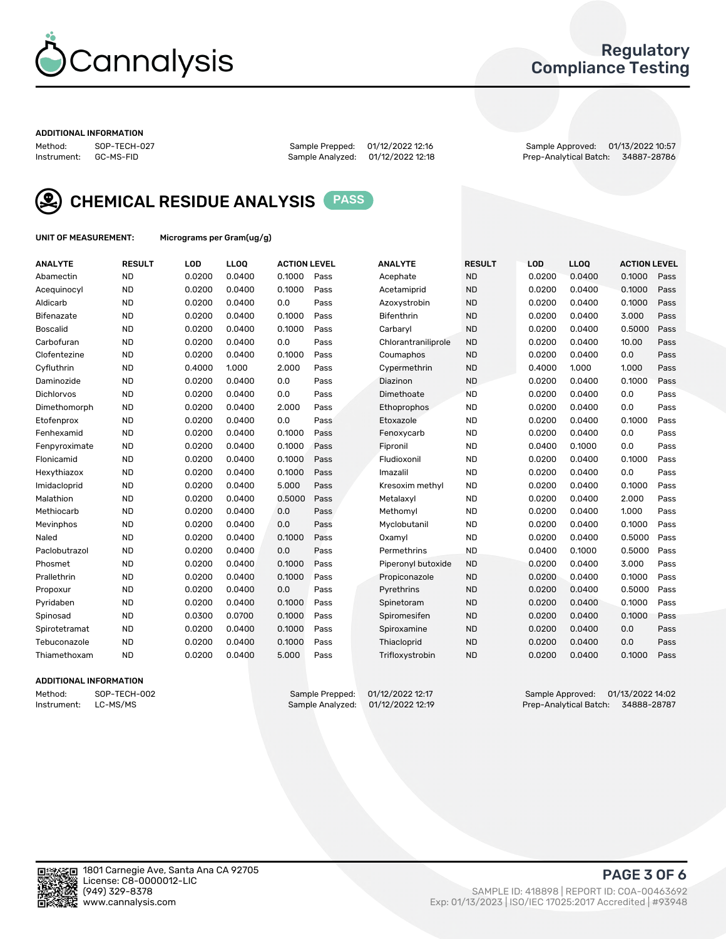

# Regulatory Compliance Testing

#### ADDITIONAL INFORMATION

Method: SOP-TECH-027 Sample Prepped: 01/12/2022 12:16 Sample Approved: 01/13/2022 10:57 Prep-Analytical Batch: 34887-28786



CHEMICAL RESIDUE ANALYSIS PASS

UNIT OF MEASUREMENT: Micrograms per Gram(ug/g)

| <b>ANALYTE</b>    | <b>RESULT</b> | LOD    | LL <sub>OO</sub> | <b>ACTION LEVEL</b> |      | <b>ANALYTE</b>      | <b>RESULT</b> | LOD    | <b>LLOQ</b> | <b>ACTION LEVEL</b> |      |
|-------------------|---------------|--------|------------------|---------------------|------|---------------------|---------------|--------|-------------|---------------------|------|
| Abamectin         | <b>ND</b>     | 0.0200 | 0.0400           | 0.1000              | Pass | Acephate            | <b>ND</b>     | 0.0200 | 0.0400      | 0.1000              | Pass |
| Acequinocyl       | <b>ND</b>     | 0.0200 | 0.0400           | 0.1000              | Pass | Acetamiprid         | <b>ND</b>     | 0.0200 | 0.0400      | 0.1000              | Pass |
| Aldicarb          | <b>ND</b>     | 0.0200 | 0.0400           | 0.0                 | Pass | Azoxystrobin        | <b>ND</b>     | 0.0200 | 0.0400      | 0.1000              | Pass |
| Bifenazate        | <b>ND</b>     | 0.0200 | 0.0400           | 0.1000              | Pass | <b>Bifenthrin</b>   | <b>ND</b>     | 0.0200 | 0.0400      | 3.000               | Pass |
| <b>Boscalid</b>   | <b>ND</b>     | 0.0200 | 0.0400           | 0.1000              | Pass | Carbaryl            | <b>ND</b>     | 0.0200 | 0.0400      | 0.5000              | Pass |
| Carbofuran        | <b>ND</b>     | 0.0200 | 0.0400           | 0.0                 | Pass | Chlorantraniliprole | <b>ND</b>     | 0.0200 | 0.0400      | 10.00               | Pass |
| Clofentezine      | <b>ND</b>     | 0.0200 | 0.0400           | 0.1000              | Pass | Coumaphos           | <b>ND</b>     | 0.0200 | 0.0400      | 0.0                 | Pass |
| Cyfluthrin        | <b>ND</b>     | 0.4000 | 1.000            | 2.000               | Pass | Cypermethrin        | <b>ND</b>     | 0.4000 | 1.000       | 1.000               | Pass |
| Daminozide        | <b>ND</b>     | 0.0200 | 0.0400           | 0.0                 | Pass | Diazinon            | <b>ND</b>     | 0.0200 | 0.0400      | 0.1000              | Pass |
| <b>Dichlorvos</b> | <b>ND</b>     | 0.0200 | 0.0400           | 0.0                 | Pass | Dimethoate          | <b>ND</b>     | 0.0200 | 0.0400      | 0.0                 | Pass |
| Dimethomorph      | <b>ND</b>     | 0.0200 | 0.0400           | 2.000               | Pass | <b>Ethoprophos</b>  | <b>ND</b>     | 0.0200 | 0.0400      | 0.0                 | Pass |
| Etofenprox        | <b>ND</b>     | 0.0200 | 0.0400           | 0.0                 | Pass | Etoxazole           | <b>ND</b>     | 0.0200 | 0.0400      | 0.1000              | Pass |
| Fenhexamid        | <b>ND</b>     | 0.0200 | 0.0400           | 0.1000              | Pass | Fenoxycarb          | <b>ND</b>     | 0.0200 | 0.0400      | 0.0                 | Pass |
| Fenpyroximate     | <b>ND</b>     | 0.0200 | 0.0400           | 0.1000              | Pass | Fipronil            | <b>ND</b>     | 0.0400 | 0.1000      | 0.0                 | Pass |
| Flonicamid        | <b>ND</b>     | 0.0200 | 0.0400           | 0.1000              | Pass | Fludioxonil         | <b>ND</b>     | 0.0200 | 0.0400      | 0.1000              | Pass |
| Hexythiazox       | <b>ND</b>     | 0.0200 | 0.0400           | 0.1000              | Pass | Imazalil            | <b>ND</b>     | 0.0200 | 0.0400      | 0.0                 | Pass |
| Imidacloprid      | <b>ND</b>     | 0.0200 | 0.0400           | 5.000               | Pass | Kresoxim methyl     | <b>ND</b>     | 0.0200 | 0.0400      | 0.1000              | Pass |
| Malathion         | <b>ND</b>     | 0.0200 | 0.0400           | 0.5000              | Pass | Metalaxyl           | <b>ND</b>     | 0.0200 | 0.0400      | 2.000               | Pass |
| Methiocarb        | <b>ND</b>     | 0.0200 | 0.0400           | 0.0                 | Pass | Methomyl            | <b>ND</b>     | 0.0200 | 0.0400      | 1.000               | Pass |
| Mevinphos         | <b>ND</b>     | 0.0200 | 0.0400           | 0.0                 | Pass | Myclobutanil        | <b>ND</b>     | 0.0200 | 0.0400      | 0.1000              | Pass |
| Naled             | <b>ND</b>     | 0.0200 | 0.0400           | 0.1000              | Pass | Oxamyl              | <b>ND</b>     | 0.0200 | 0.0400      | 0.5000              | Pass |
| Paclobutrazol     | <b>ND</b>     | 0.0200 | 0.0400           | 0.0                 | Pass | Permethrins         | <b>ND</b>     | 0.0400 | 0.1000      | 0.5000              | Pass |
| Phosmet           | <b>ND</b>     | 0.0200 | 0.0400           | 0.1000              | Pass | Piperonyl butoxide  | <b>ND</b>     | 0.0200 | 0.0400      | 3.000               | Pass |
| Prallethrin       | <b>ND</b>     | 0.0200 | 0.0400           | 0.1000              | Pass | Propiconazole       | <b>ND</b>     | 0.0200 | 0.0400      | 0.1000              | Pass |
| Propoxur          | <b>ND</b>     | 0.0200 | 0.0400           | 0.0                 | Pass | Pyrethrins          | <b>ND</b>     | 0.0200 | 0.0400      | 0.5000              | Pass |
| Pyridaben         | <b>ND</b>     | 0.0200 | 0.0400           | 0.1000              | Pass | Spinetoram          | <b>ND</b>     | 0.0200 | 0.0400      | 0.1000              | Pass |
| Spinosad          | <b>ND</b>     | 0.0300 | 0.0700           | 0.1000              | Pass | Spiromesifen        | <b>ND</b>     | 0.0200 | 0.0400      | 0.1000              | Pass |
| Spirotetramat     | <b>ND</b>     | 0.0200 | 0.0400           | 0.1000              | Pass | Spiroxamine         | <b>ND</b>     | 0.0200 | 0.0400      | 0.0                 | Pass |
| Tebuconazole      | <b>ND</b>     | 0.0200 | 0.0400           | 0.1000              | Pass | Thiacloprid         | <b>ND</b>     | 0.0200 | 0.0400      | 0.0                 | Pass |
| Thiamethoxam      | <b>ND</b>     | 0.0200 | 0.0400           | 5.000               | Pass | Trifloxystrobin     | <b>ND</b>     | 0.0200 | 0.0400      | 0.1000              | Pass |

### ADDITIONAL INFORMATION

Method: SOP-TECH-002 Sample Prepped: 01/12/2022 12:17 Sample Approved: 01/13/2022 14:02 Prep-Analytical Batch: 34888-28787

PAGE 3 OF 6

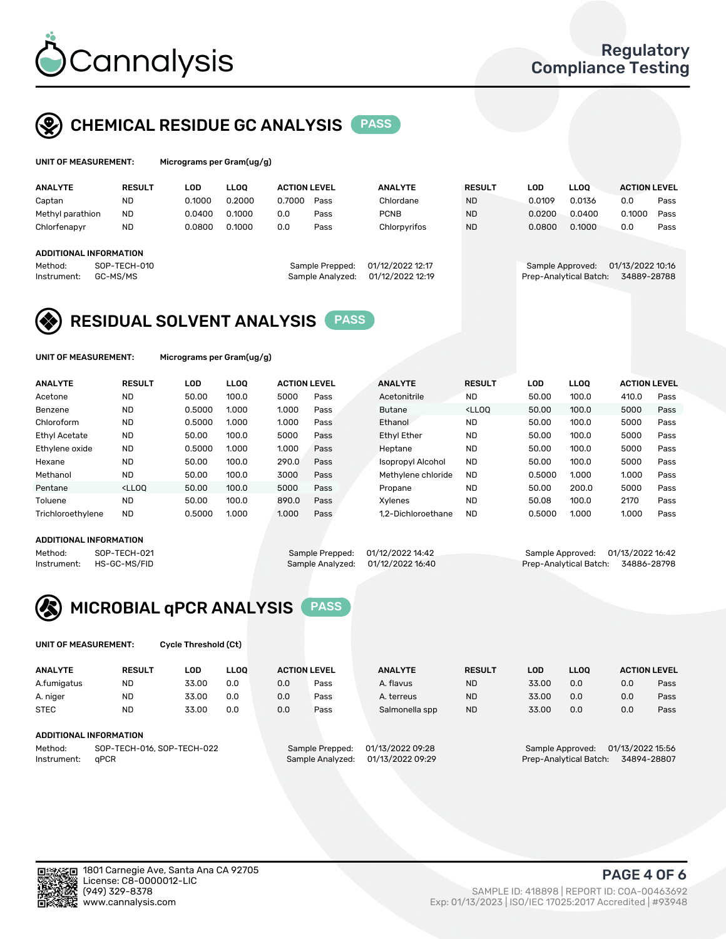

# CHEMICAL RESIDUE GC ANALYSIS PASS

| UNIT OF MEASUREMENT: | Micrograms per 0 |
|----------------------|------------------|
|                      |                  |

Gram(ug/g)

| <b>ANALYTE</b>                                   | <b>RESULT</b>            | LOD    | <b>LLOO</b> | <b>ACTION LEVEL</b> |                                     | <b>ANALYTE</b>                       | <b>RESULT</b> | LOD    | <b>LLOO</b>                                | <b>ACTION LEVEL</b>             |      |
|--------------------------------------------------|--------------------------|--------|-------------|---------------------|-------------------------------------|--------------------------------------|---------------|--------|--------------------------------------------|---------------------------------|------|
| Captan                                           | <b>ND</b>                | 0.1000 | 0.2000      | 0.7000              | Pass                                | Chlordane                            | <b>ND</b>     | 0.0109 | 0.0136                                     | 0.0                             | Pass |
| Methyl parathion                                 | <b>ND</b>                | 0.0400 | 0.1000      | 0.0                 | Pass                                | <b>PCNB</b>                          | <b>ND</b>     | 0.0200 | 0.0400                                     | 0.1000                          | Pass |
| Chlorfenapyr                                     | <b>ND</b>                | 0.0800 | 0.1000      | 0.0                 | Pass                                | Chlorpyrifos                         | <b>ND</b>     | 0.0800 | 0.1000                                     | 0.0                             | Pass |
| ADDITIONAL INFORMATION<br>Method:<br>Instrument: | SOP-TECH-010<br>GC-MS/MS |        |             |                     | Sample Prepped:<br>Sample Analyzed: | 01/12/2022 12:17<br>01/12/2022 12:19 |               |        | Sample Approved:<br>Prep-Analytical Batch: | 01/13/2022 10:16<br>34889-28788 |      |
|                                                  |                          |        |             |                     |                                     |                                      |               |        |                                            |                                 |      |

# RESIDUAL SOLVENT ANALYSIS PASS

UNIT OF MEASUREMENT: Micrograms per Gram(ug/g)

| <b>ANALYTE</b>       | <b>RESULT</b>                                                                                                                                                       | LOD    | <b>LLOO</b> | <b>ACTION LEVEL</b> |      | <b>ANALYTE</b>     | <b>RESULT</b>                                                               | LOD    | <b>LLOO</b> | <b>ACTION LEVEL</b> |      |
|----------------------|---------------------------------------------------------------------------------------------------------------------------------------------------------------------|--------|-------------|---------------------|------|--------------------|-----------------------------------------------------------------------------|--------|-------------|---------------------|------|
| Acetone              | <b>ND</b>                                                                                                                                                           | 50.00  | 100.0       | 5000                | Pass | Acetonitrile       | <b>ND</b>                                                                   | 50.00  | 100.0       | 410.0               | Pass |
| Benzene              | <b>ND</b>                                                                                                                                                           | 0.5000 | 1.000       | 1.000               | Pass | <b>Butane</b>      | <lloo< td=""><td>50.00</td><td>100.0</td><td>5000</td><td>Pass</td></lloo<> | 50.00  | 100.0       | 5000                | Pass |
| Chloroform           | <b>ND</b>                                                                                                                                                           | 0.5000 | 1.000       | 1.000               | Pass | Ethanol            | <b>ND</b>                                                                   | 50.00  | 100.0       | 5000                | Pass |
| <b>Ethyl Acetate</b> | <b>ND</b>                                                                                                                                                           | 50.00  | 100.0       | 5000                | Pass | <b>Ethyl Ether</b> | <b>ND</b>                                                                   | 50.00  | 100.0       | 5000                | Pass |
| Ethylene oxide       | <b>ND</b>                                                                                                                                                           | 0.5000 | 1.000       | 1.000               | Pass | Heptane            | <b>ND</b>                                                                   | 50.00  | 100.0       | 5000                | Pass |
| Hexane               | <b>ND</b>                                                                                                                                                           | 50.00  | 100.0       | 290.0               | Pass | Isopropyl Alcohol  | <b>ND</b>                                                                   | 50.00  | 100.0       | 5000                | Pass |
| Methanol             | <b>ND</b>                                                                                                                                                           | 50.00  | 100.0       | 3000                | Pass | Methylene chloride | <b>ND</b>                                                                   | 0.5000 | 1.000       | 1.000               | Pass |
| Pentane              | <lloo< td=""><td>50.00</td><td>100.0</td><td>5000</td><td>Pass</td><td>Propane</td><td><b>ND</b></td><td>50.00</td><td>200.0</td><td>5000</td><td>Pass</td></lloo<> | 50.00  | 100.0       | 5000                | Pass | Propane            | <b>ND</b>                                                                   | 50.00  | 200.0       | 5000                | Pass |
| Toluene              | <b>ND</b>                                                                                                                                                           | 50.00  | 100.0       | 890.0               | Pass | Xvlenes            | <b>ND</b>                                                                   | 50.08  | 100.0       | 2170                | Pass |
| Trichloroethylene    | <b>ND</b>                                                                                                                                                           | 0.5000 | 1.000       | 1.000               | Pass | 1.2-Dichloroethane | <b>ND</b>                                                                   | 0.5000 | 1.000       | 1.000               | Pass |

#### ADDITIONAL INFORMATION

Method: SOP-TECH-021 Sample Prepped: 01/12/2022 14:42 Sample Approved: 01/13/2022 16:42<br>Instrument: HS-GC-MS/FID Sample Analyzed: 01/12/2022 16:40 Prep-Analytical Batch: 34886-28798 Prep-Analytical Batch: 34886-28798



UNIT OF MEASUREMENT: Cycle Threshold (Ct)

| <b>ANALYTE</b> | <b>RESULT</b>              | LOD   | <b>LLOO</b> | <b>ACTION LEVEL</b> |                 | <b>ANALYTE</b>   | <b>RESULT</b> | LOD   | <b>LLOO</b>      |                  | <b>ACTION LEVEL</b> |
|----------------|----------------------------|-------|-------------|---------------------|-----------------|------------------|---------------|-------|------------------|------------------|---------------------|
| A.fumigatus    | <b>ND</b>                  | 33.00 | 0.0         | 0.0                 | Pass            | A. flavus        | <b>ND</b>     | 33.00 | 0.0              | 0.0              | Pass                |
| A. niger       | <b>ND</b>                  | 33.00 | 0.0         | 0.0                 | Pass            | A. terreus       | <b>ND</b>     | 33.00 | 0.0              | 0.0              | Pass                |
| <b>STEC</b>    | <b>ND</b>                  | 33.00 | 0.0         | 0.0                 | Pass            | Salmonella spp   | <b>ND</b>     | 33.00 | 0.0              | 0.0              | Pass                |
|                | ADDITIONAL INFORMATION     |       |             |                     |                 |                  |               |       |                  |                  |                     |
| Method:        | SOP-TECH-016, SOP-TECH-022 |       |             |                     | Sample Prepped: | 01/13/2022 09:28 |               |       | Sample Approved: | 01/13/2022 15:56 |                     |

Instrument: qPCR Sample Analyzed: 01/13/2022 09:29 Prep-Analytical Batch: 34894-28807

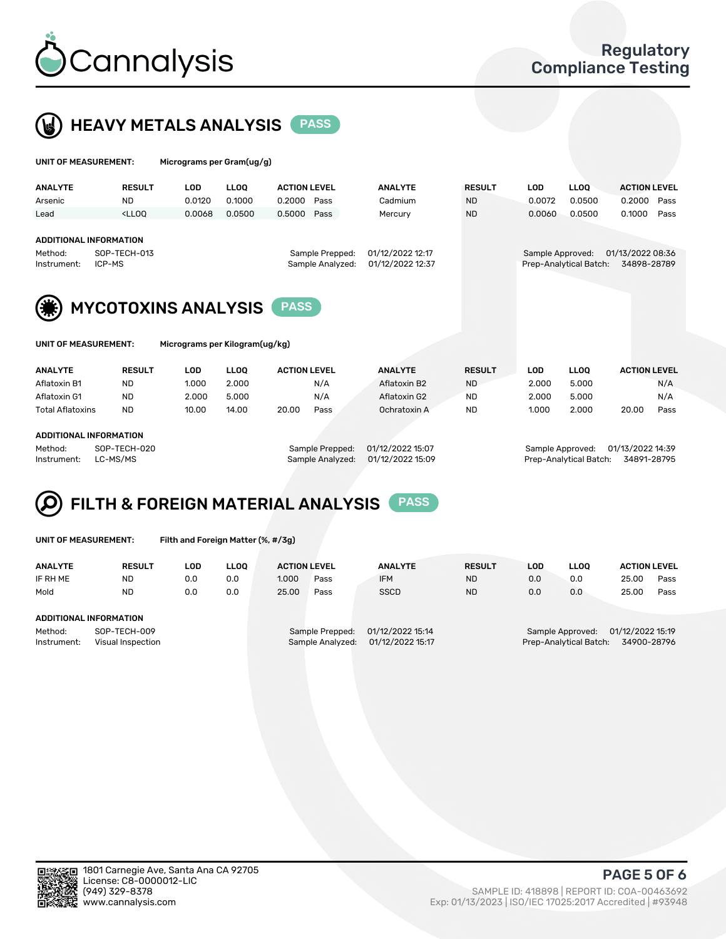

 $U$ UNIT OF MEASUREMENT: Micrograms per Gram(ug/g)



|                                                         |                                                                                                                                                                     | $1.000$ egrante per eranticial al |             |                                     |                                      |               |                  |                        |                                 |
|---------------------------------------------------------|---------------------------------------------------------------------------------------------------------------------------------------------------------------------|-----------------------------------|-------------|-------------------------------------|--------------------------------------|---------------|------------------|------------------------|---------------------------------|
| <b>ANALYTE</b>                                          | <b>RESULT</b>                                                                                                                                                       | <b>LOD</b>                        | <b>LLOO</b> | <b>ACTION LEVEL</b>                 | <b>ANALYTE</b>                       | <b>RESULT</b> | <b>LOD</b>       | <b>LLOO</b>            | <b>ACTION LEVEL</b>             |
| Arsenic                                                 | ND.                                                                                                                                                                 | 0.0120                            | 0.1000      | 0.2000<br>Pass                      | Cadmium                              | <b>ND</b>     | 0.0072           | 0.0500                 | 0.2000<br>Pass                  |
| Lead                                                    | <lloo< td=""><td>0.0068</td><td>0.0500</td><td>0.5000<br/>Pass</td><td>Mercury</td><td><b>ND</b></td><td>0.0060</td><td>0.0500</td><td>0.1000<br/>Pass</td></lloo<> | 0.0068                            | 0.0500      | 0.5000<br>Pass                      | Mercury                              | <b>ND</b>     | 0.0060           | 0.0500                 | 0.1000<br>Pass                  |
| <b>ADDITIONAL INFORMATION</b><br>Method:<br>Instrument: | SOP-TECH-013<br>ICP-MS                                                                                                                                              |                                   |             | Sample Prepped:<br>Sample Analyzed: | 01/12/2022 12:17<br>01/12/2022 12:37 |               | Sample Approved: | Prep-Analytical Batch: | 01/13/2022 08:36<br>34898-28789 |
|                                                         | <b>MYCOTOXINS ANALYSIS</b>                                                                                                                                          |                                   |             | <b>PASS</b>                         |                                      |               |                  |                        |                                 |
| UNIT OF MEASUREMENT:                                    |                                                                                                                                                                     | Micrograms per Kilogram(ug/kg)    |             |                                     |                                      |               |                  |                        |                                 |
| <b>ANALYTE</b>                                          | <b>RESULT</b>                                                                                                                                                       | LOD                               | <b>LLOO</b> | <b>ACTION LEVEL</b>                 | <b>ANALYTE</b>                       | <b>RESULT</b> | <b>LOD</b>       | <b>LLOQ</b>            | <b>ACTION LEVEL</b>             |
| Aflatoxin B1                                            | <b>ND</b>                                                                                                                                                           | 1.000                             | 2.000       | N/A                                 | Aflatoxin B2                         | <b>ND</b>     | 2.000            | 5.000                  | N/A                             |
| Aflatoxin G1                                            | <b>ND</b>                                                                                                                                                           | 2.000                             | 5.000       | N/A                                 | Aflatoxin G2                         | <b>ND</b>     | 2.000            | 5.000                  | N/A                             |

Total Aflatoxins ND 10.00 14.00 20.00 Pass Ochratoxin A ND 1.000 2.000 20.00 Pass

#### ADDITIONAL INFORMATION

Method: SOP-TECH-020 Sample Prepped: 01/12/2022 15:07 Sample Approved: 01/13/2022 14:39 Instrument: LC-MS/MS Sample Analyzed: 01/12/2022 15:09 Prep-Analytical Batch: 34891-28795

# FILTH & FOREIGN MATERIAL ANALYSIS PASS

UNIT OF MEASUREMENT: Filth and Foreign Matter (%, #/3g)

| <b>ANALYTE</b>                                              | <b>RESULT</b> | LOD | LLOO | <b>ACTION LEVEL</b>                                                         |      | <b>ANALYTE</b> | <b>RESULT</b> | LOD                                                                           | <b>LLOO</b> | <b>ACTION LEVEL</b> |      |
|-------------------------------------------------------------|---------------|-----|------|-----------------------------------------------------------------------------|------|----------------|---------------|-------------------------------------------------------------------------------|-------------|---------------------|------|
| IF RH ME                                                    | <b>ND</b>     | 0.0 | 0.0  | 1.000                                                                       | Pass | <b>IFM</b>     | <b>ND</b>     | 0.0                                                                           | 0.0         | 25.00               | Pass |
| Mold                                                        | <b>ND</b>     | 0.0 | 0.0  | 25.00                                                                       | Pass | <b>SSCD</b>    | <b>ND</b>     | 0.0                                                                           | 0.0         | 25.00               | Pass |
| ADDITIONAL INFORMATION                                      |               |     |      |                                                                             |      |                |               |                                                                               |             |                     |      |
| Method:<br>SOP-TECH-009<br>Instrument:<br>Visual Inspection |               |     |      | 01/12/2022 15:14<br>Sample Prepped:<br>01/12/2022 15:17<br>Sample Analyzed: |      |                |               | 01/12/2022 15:19<br>Sample Approved:<br>Prep-Analytical Batch:<br>34900-28796 |             |                     |      |